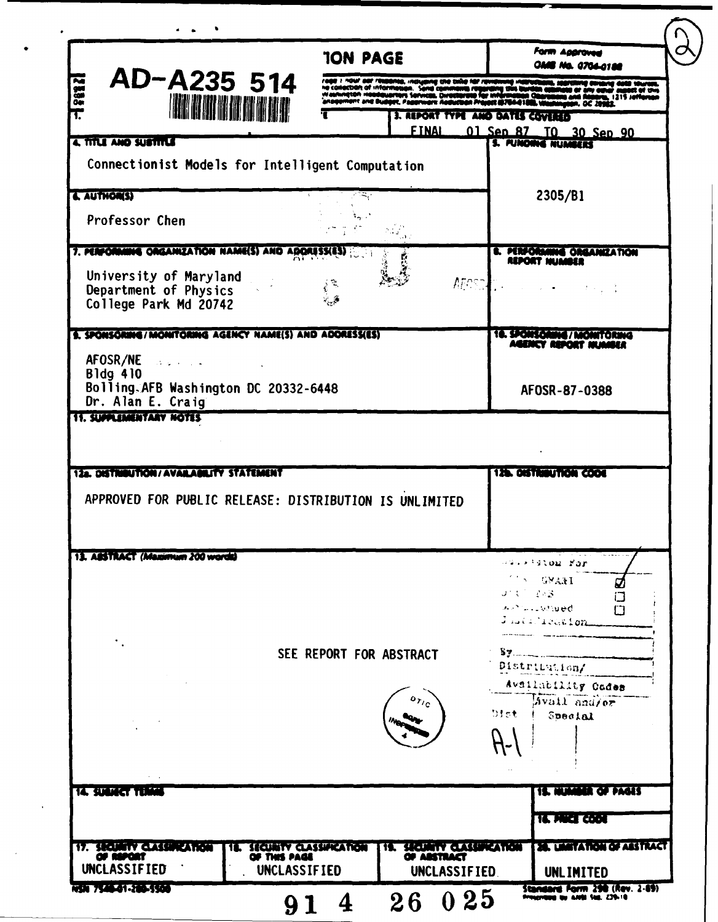| AD-A235 514<br>2888<br><b>HEATH ANNA</b>                                     | <b>TON PAGE</b>                                                                                           |                                            |                                             | Form Aggroved<br>i Ma. 0704-0186                                                          |
|------------------------------------------------------------------------------|-----------------------------------------------------------------------------------------------------------|--------------------------------------------|---------------------------------------------|-------------------------------------------------------------------------------------------|
|                                                                              | action of information. Send comm<br>naton Hooddwarters Services, Over<br>iment and Budget, Pagerward Aedy |                                            |                                             |                                                                                           |
|                                                                              |                                                                                                           |                                            | 3. REPORT TYPE AND DATES COVERED            |                                                                                           |
|                                                                              |                                                                                                           | <b>FINAL</b>                               |                                             | 01 Sen 87 TO 30 Sen 90                                                                    |
| 4. TITLE AND SUSTITLE                                                        |                                                                                                           |                                            |                                             | <b>S. PUNDING NUMBERS</b>                                                                 |
| Connectionist Models for Intelligent Computation                             |                                                                                                           |                                            |                                             |                                                                                           |
| & AUTHORS)                                                                   |                                                                                                           |                                            |                                             | 2305/B1                                                                                   |
| Professor Chen                                                               |                                                                                                           |                                            |                                             |                                                                                           |
|                                                                              |                                                                                                           |                                            |                                             |                                                                                           |
| 7. PERFORMING ORGANIZATION NAME(S) AND ADDRESSESS                            |                                                                                                           |                                            |                                             | <b>L. PERFORANNE ORGANIZATION</b><br>REPORT MUMBER                                        |
| University of Maryland<br>Department of Physics<br>College Park Md 20742     |                                                                                                           |                                            | AFOSTA                                      |                                                                                           |
| S. SPONSORING/MONITORING AGENCY NAME(S) AND ADORESS(ES)                      |                                                                                                           |                                            |                                             | 18. SPONSORING / MONITORING<br>ICY REPORT HUMBU                                           |
| AFOSR/NE And Aforest Article<br>Bldg 410                                     |                                                                                                           |                                            |                                             |                                                                                           |
| Bolling AFB Washington DC 20332-6448<br>Dr. Alan E. Craig                    |                                                                                                           |                                            |                                             | AF0SR-87-0388                                                                             |
| APPROVED FOR PUBLIC RELEASE: DISTRIBUTION IS UNLIMITED                       |                                                                                                           |                                            |                                             | 12b. DISTRIBUTION CODE                                                                    |
|                                                                              |                                                                                                           |                                            |                                             |                                                                                           |
|                                                                              |                                                                                                           |                                            |                                             | ≈askigtom Kor                                                                             |
| 12a. DISTRIBUTION/AVAILABILITY STATEMENT<br>13. ABSTRACT (Maximum 200 words) |                                                                                                           |                                            |                                             | <b>TERMO STATE</b><br>Ø<br>$J^{\pm}$ ( $1 - 253$ )<br>口<br>Alphase wheed.<br>Juli Treaton |
|                                                                              | SEE REPORT FOR ABSTRACT                                                                                   |                                            |                                             | Distribution/                                                                             |
|                                                                              |                                                                                                           | $\mathfrak{o}_{\mathcal{T}/_{\mathbf{C}}}$ |                                             | Avsilability Codes<br>Avail analor                                                        |
|                                                                              |                                                                                                           |                                            | Dist                                        | Special                                                                                   |
|                                                                              |                                                                                                           |                                            |                                             |                                                                                           |
|                                                                              |                                                                                                           |                                            |                                             | <b>15. MUMMER OF PAGES</b>                                                                |
|                                                                              |                                                                                                           |                                            |                                             | <b>16. PAKEL CODE</b>                                                                     |
| <b>TA SUBJECT TERMI</b><br>17. SECURITY CLASSIFICATION<br>11.                |                                                                                                           | 11.                                        |                                             | <b>ES. UMITATION OF ASSTRACT</b>                                                          |
| OF REPORT<br><b>UNCLASSIFIED</b><br><b>UNCLASSIFIED</b>                      | SECURITY CLASSIFICATION<br>OF THIS PAGE                                                                   |                                            | SEQUATY QUISINCATION<br><b>UNCLASSIFIED</b> | UNLIMITED                                                                                 |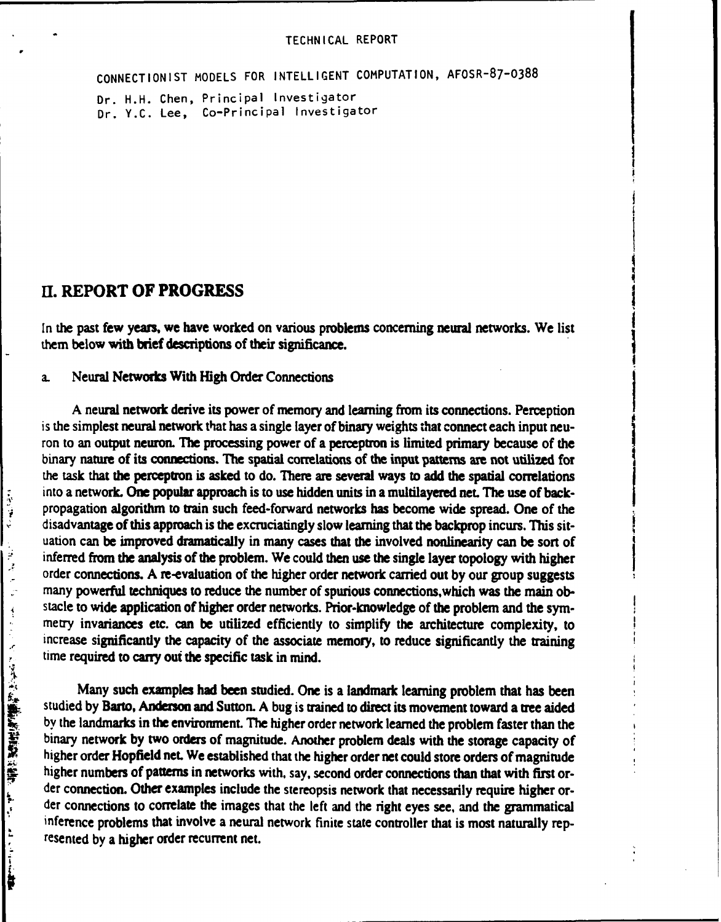**CONNECTIONIST MODELS** FOR **INTELLIGENT COMPUTATION, AFOSR-87-0388**

Dr. H.H. Chen, Principal Investigator Dr. Y.C. Lee, Co-Principal Investigator

# **El. REPORT OF PROGRESS**

In the past few years, we have worked on various problems concerning neural networks. We list them below with brief descriptions of their significance.

### a. Neural Networks With **High** Order Connections

A neural network derive its power of memory and learning from its connections. Perception is the simplest neural network that has a single layer of binary weights that connect each input neuron to an output **neuron.** *The* processing power of a perceptron is limited primary because of the binary nature of its connections. The spatial correlations of the input **patterns** are not utilized for the task that the perceptron is asked to do. **There** are several ways to add the spatial correlations into a network. One popular approach is to use hidden units in a multilayered **net.** The use of backpropagation algorithm to train such feed-forward networks has become wide spread. One of the disadvantage of this approach is the excruciatingly slow learning that the backprop incurs. **This** situation can be improved dramatically in many cases that the involved nonlinearity can be sort **of** inferred from the analysis of the problem. We could **then** use the single layer topology with higher order connections. **A** re-evaluation of the higher order network carried out **by** our group suggests many powerful techniques to reduce the number of spurious connections,which was the main **ob**stacle to wide application of higher order networks. Prior-knowledge of the problem and the symmetry invariances etc. can be utilized efficiently to simplify the architecture complexity, to increase significantly the capacity of the associate memory, to reduce significantly the training time required to **carry** out the specific task in mind.

Many such examples had been studied. One is a landmark learning problem that has been studied **by** Barto, Anderson and Sutton. **A** bug is trained to direct its movement toward a tree aided stacle to wide application of higher order networks. Prior-knowledge of the problem and the symmetry invariances etc. can be utilized efficiently to simplify the architecture complexity, to time required to carry out the s binary network **by** two orders of magnitude. Another problem deals with the storage capacity of higher order Hopfield net. We established that the higher order net could store orders of magnitude higher numbers of patterns in networks with, say, second order connections than that with first order connection. Other examples include the stereopsis network that necessarily require higher order connections to correlate the images that the left and the right eyes see, and the grammatical inference problems that involve a neural network finite state controller that is most naturally represented **by** a higher order recurrent net.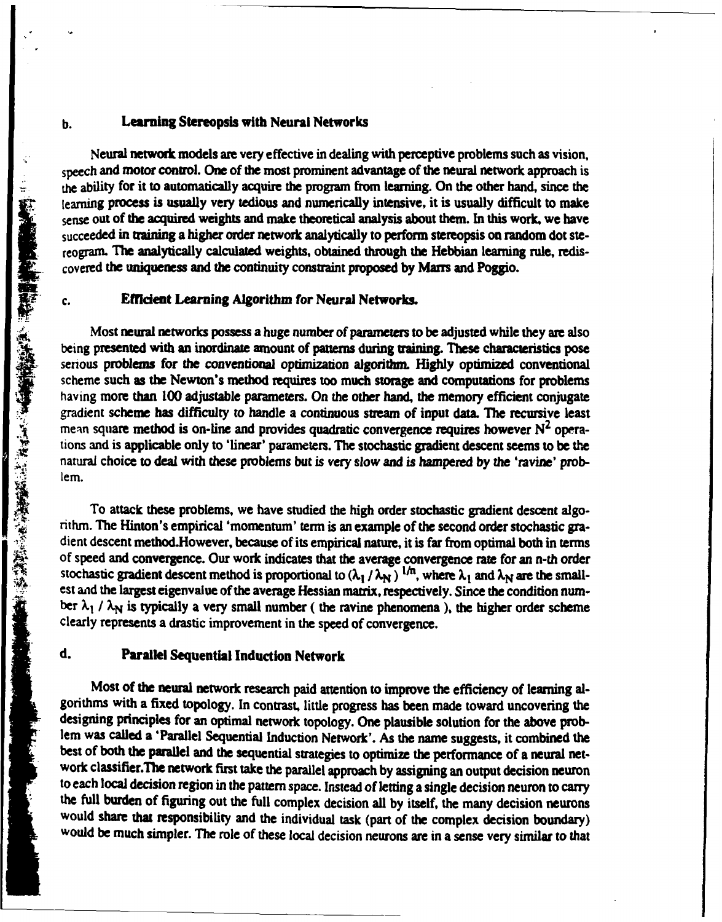#### **b.** Learning Stereopsis with Neural Networks

Neural network models **are** very effective in dealing with perceptive problems such as vision, speech and motor control. One of the most prominent advantage of the neural network approach is the ability for it to automatically acquire the program from learning. On the other hand, since the learning **process** is usually very tedious and numerically intensive, it is usually difficult to make sense out of the acquired weights and make theoretical analysis about them. In this work, we have succeeded in training a higher order network analytically to perform stereopsis on random dot stereogram. The analytically calculated weights, obtained through the Hebbian learning rule, rediscovered the uniqueness and the continuity constraint proposed **by Marr** and Poggio.

#### **c. Ement** Learning Algorithm for Neural Networks.

Most neural networks possess a huge number of parameters to be adjusted while they are also being presented with an inordinate amount of patterns during training. These characteristics pose serious problems for the conventional optimization algorithm. **Highly** optimized conventional scheme such as the Newton's method requires too much storage and computations for problems having more than **100** adjustable parameters. On the other hand, the memory efficient conjugate gradient scheme has difficulty to handle a continuous stream of input data. The recursive least mean square method is on-line and provides quadratic convergence requires however **N2** operations and is applicable only to 'linear' parameters. The stochastic gradient descent seems to be the natural choice to deal with these problems but is very slow and *is* hampered **by** the 'ravine' prob**lem.** the ability for its outselves and summing the method. Since the method is the same in the method. The sequented in terms of the scentists are summed to the sequented in terms in the summer of the sequented in the sequented

To attack these problems, we have studied the high order stochastic gradient descent algo- nthm. **The** Hinton's empirical 'momentum' term is an example of the second order stochastic **gra** of speed and convergence. Our work indicates that the average convergence rate for an n-th order stochastic gradient descent method is proportional to  $(\lambda_1/\lambda_N)^{1/n}$ , where  $\lambda_1$  and  $\lambda_N$  are the smallest and the largest eigenvalue of the average Hessian matrix, respectively. Since the condition number  $\lambda_1$  /  $\lambda_N$  is typically a very small number ( the ravine phenomena ), the higher order scheme clearly represents a drastic improvement in the speed of convergence.

## **d.** Parallel Sequential Induction Network

Most of the neural network research paid attention to improve the efficiency of learning al**gorithms** with a fixed topology. In contrast, little progress has been made toward uncovering the designing principles for an optimal network topology. One plausible solution for the above problem was called a 'Parallel Sequential Induction Network'. As the name suggests, it combined the best of both the parallel and the sequential strategies to optimize the performance of a neural network classifier.The network first take the parallel approach **by** assigning an output decision neuron to each local decision region **in** the pattern space. Instead of letting a single decision neuron to **carry** the full burden of figuring out the full complex decision all **by** itself, the many decision neurons would share that responsibility and the individual task (part of the complex decision boundary) would be much simpler. **The** role of these local decision neurons **are** in a sense very similar to that